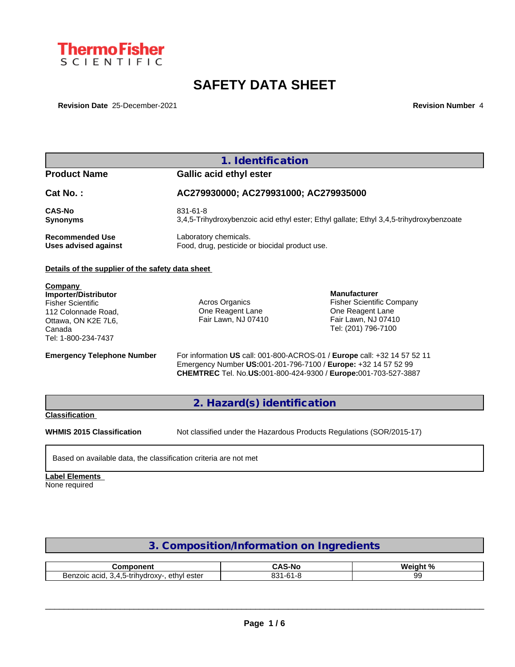

# **SAFETY DATA SHEET**

**Revision Date** 25-December-2021 **Revision Number** 4

|                                                                                                                                            | 1. Identification                                                       |                                                                                                                                                                                                              |
|--------------------------------------------------------------------------------------------------------------------------------------------|-------------------------------------------------------------------------|--------------------------------------------------------------------------------------------------------------------------------------------------------------------------------------------------------------|
| <b>Product Name</b>                                                                                                                        | <b>Gallic acid ethyl ester</b>                                          |                                                                                                                                                                                                              |
| Cat No.:                                                                                                                                   | AC279930000; AC279931000; AC279935000                                   |                                                                                                                                                                                                              |
| <b>CAS-No</b><br><b>Synonyms</b>                                                                                                           | 831-61-8                                                                | 3,4,5-Trihydroxybenzoic acid ethyl ester; Ethyl gallate; Ethyl 3,4,5-trihydroxybenzoate                                                                                                                      |
| <b>Recommended Use</b><br><b>Uses advised against</b>                                                                                      | Laboratory chemicals.<br>Food, drug, pesticide or biocidal product use. |                                                                                                                                                                                                              |
| Details of the supplier of the safety data sheet                                                                                           |                                                                         |                                                                                                                                                                                                              |
| Company<br>Importer/Distributor<br><b>Fisher Scientific</b><br>112 Colonnade Road.<br>Ottawa, ON K2E 7L6,<br>Canada<br>Tel: 1-800-234-7437 | Acros Organics<br>One Reagent Lane<br>Fair Lawn, NJ 07410               | <b>Manufacturer</b><br><b>Fisher Scientific Company</b><br>One Reagent Lane<br>Fair Lawn, NJ 07410<br>Tel: (201) 796-7100                                                                                    |
| <b>Emergency Telephone Number</b>                                                                                                          |                                                                         | For information US call: 001-800-ACROS-01 / Europe call: +32 14 57 52 11<br>Emergency Number US:001-201-796-7100 / Europe: +32 14 57 52 99<br>CHEMTREC Tel. No.US:001-800-424-9300 / Europe:001-703-527-3887 |
|                                                                                                                                            | 2. Hazard(s) identification                                             |                                                                                                                                                                                                              |
| <b>Classification</b>                                                                                                                      |                                                                         |                                                                                                                                                                                                              |
| <b>WHMIS 2015 Classification</b>                                                                                                           |                                                                         | Not classified under the Hazardous Products Regulations (SOR/2015-17)                                                                                                                                        |

### **Label Elements**

None required

## **3. Composition/Information on Ingredients**

| nmnnnent<br>nmn                                                                                            | $\overline{\phantom{a}}$<br>$\cdot$ $\sim$<br>…… and an<br> | <b>Wainh</b><br>. n |
|------------------------------------------------------------------------------------------------------------|-------------------------------------------------------------|---------------------|
| ethvl<br>. ester<br>200700<br>. .-rinvdroxv∙<br>acio<br>$\overline{\phantom{a}}$<br>אוסט<br>טוש.<br>$\sim$ | oo,<br>$\sim$<br>. .<br>ںر<br>◡                             | .<br>ີ              |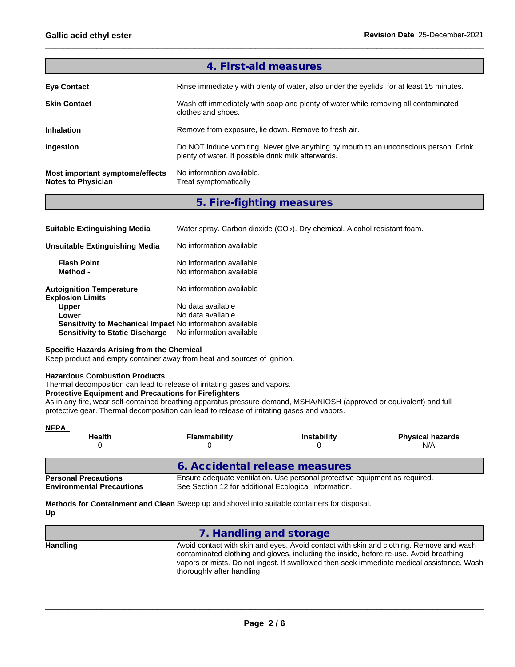|                                                              | 4. First-aid measures                                                                                                                       |
|--------------------------------------------------------------|---------------------------------------------------------------------------------------------------------------------------------------------|
| <b>Eye Contact</b>                                           | Rinse immediately with plenty of water, also under the eyelids, for at least 15 minutes.                                                    |
| <b>Skin Contact</b>                                          | Wash off immediately with soap and plenty of water while removing all contaminated<br>clothes and shoes.                                    |
| <b>Inhalation</b>                                            | Remove from exposure, lie down. Remove to fresh air.                                                                                        |
| Ingestion                                                    | Do NOT induce vomiting. Never give anything by mouth to an unconscious person. Drink<br>plenty of water. If possible drink milk afterwards. |
| Most important symptoms/effects<br><b>Notes to Physician</b> | No information available.<br>Treat symptomatically                                                                                          |

## **5. Fire-fighting measures**

| <b>Suitable Extinguishing Media</b>                              | Water spray. Carbon dioxide (CO <sub>2</sub> ). Dry chemical. Alcohol resistant foam. |
|------------------------------------------------------------------|---------------------------------------------------------------------------------------|
| Unsuitable Extinguishing Media                                   | No information available                                                              |
| <b>Flash Point</b><br>Method -                                   | No information available<br>No information available                                  |
| <b>Autoignition Temperature</b><br><b>Explosion Limits</b>       | No information available                                                              |
| <b>Upper</b>                                                     | No data available                                                                     |
| Lower                                                            | No data available                                                                     |
| <b>Sensitivity to Mechanical Impact No information available</b> |                                                                                       |
| <b>Sensitivity to Static Discharge</b>                           | No information available                                                              |

#### **Specific Hazards Arising from the Chemical**

Keep product and empty container away from heat and sources of ignition.

#### **Hazardous Combustion Products**

Thermal decomposition can lead to release of irritating gases and vapors.

#### **Protective Equipment and Precautions for Firefighters**

As in any fire, wear self-contained breathing apparatus pressure-demand, MSHA/NIOSH (approved or equivalent) and full protective gear. Thermal decomposition can lead to release of irritating gases and vapors.

| <b>NFPA</b><br><b>Health</b>                                    | <b>Flammability</b>                                   | <b>Instability</b>                                                          | <b>Physical hazards</b><br>N/A |
|-----------------------------------------------------------------|-------------------------------------------------------|-----------------------------------------------------------------------------|--------------------------------|
|                                                                 | 6. Accidental release measures                        |                                                                             |                                |
| <b>Personal Precautions</b><br><b>Environmental Precautions</b> | See Section 12 for additional Ecological Information. | Ensure adequate ventilation. Use personal protective equipment as required. |                                |

**Methods for Containment and Clean** Sweep up and shovel into suitable containers for disposal. **Up**

| 7. Handling and storage                                                                                                                                                                                                                                                                                      |  |
|--------------------------------------------------------------------------------------------------------------------------------------------------------------------------------------------------------------------------------------------------------------------------------------------------------------|--|
| Avoid contact with skin and eyes. Avoid contact with skin and clothing. Remove and wash<br>contaminated clothing and gloves, including the inside, before re-use. Avoid breathing<br>vapors or mists. Do not ingest. If swallowed then seek immediate medical assistance. Wash<br>thoroughly after handling. |  |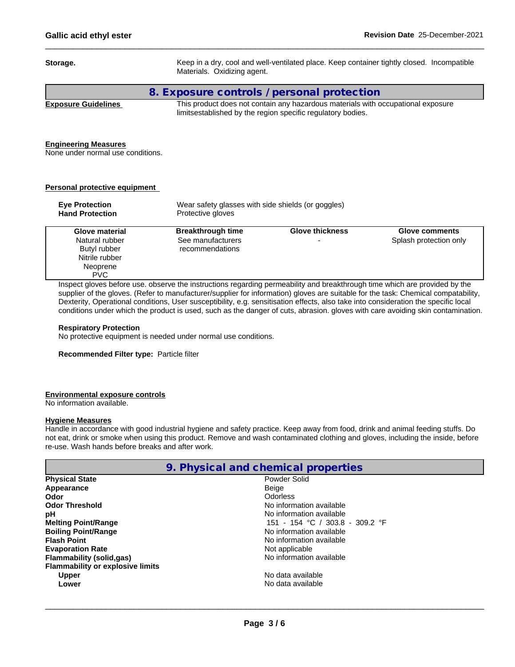| Storage.     | Keep in a dry, cool and well-ventilated place. Keep container tightly closed. Incompatible<br>Materials. Oxidizing agent.                                                                                                                   |  |
|--------------|---------------------------------------------------------------------------------------------------------------------------------------------------------------------------------------------------------------------------------------------|--|
|              | 8. Exposure controls / personal protection                                                                                                                                                                                                  |  |
| - - - -<br>- | ---<br>.<br>$\sim$ . The contract of the contract of the contract of the contract of the contract of the contract of the contract of the contract of the contract of the contract of the contract of the contract of the contract of the co |  |

**Exposure Guidelines** This product does not contain any hazardous materials with occupational exposure limitsestablished by the region specific regulatory bodies.

#### **Engineering Measures**

None under normal use conditions.

### **Personal protective equipment**

| <b>Eye Protection</b><br><b>Hand Protection</b> | Wear safety glasses with side shields (or goggles)<br>Protective gloves |                        |                                                 |
|-------------------------------------------------|-------------------------------------------------------------------------|------------------------|-------------------------------------------------|
| Glove material<br>Natural rubber                | <b>Breakthrough time</b><br>See manufacturers                           | <b>Glove thickness</b> | <b>Glove comments</b><br>Splash protection only |
| Butyl rubber                                    | recommendations                                                         |                        |                                                 |
| Nitrile rubber                                  |                                                                         |                        |                                                 |
| Neoprene                                        |                                                                         |                        |                                                 |
| <b>PVC</b>                                      |                                                                         |                        |                                                 |

Inspect gloves before use. observe the instructions regarding permeability and breakthrough time which are provided by the supplier of the gloves. (Refer to manufacturer/supplier for information) gloves are suitable for the task: Chemical compatability, Dexterity, Operational conditions, User susceptibility, e.g. sensitisation effects, also take into consideration the specific local conditions under which the product is used, such as the danger of cuts, abrasion. gloves with care avoiding skin contamination.

#### **Respiratory Protection**

No protective equipment is needed under normal use conditions.

#### **Recommended Filter type:** Particle filter

#### **Environmental exposure controls**

No information available.

#### **Hygiene Measures**

Handle in accordance with good industrial hygiene and safety practice. Keep away from food, drink and animal feeding stuffs. Do not eat, drink or smoke when using this product. Remove and wash contaminated clothing and gloves, including the inside, before re-use. Wash hands before breaks and after work.

|                                         | 9. Physical and chemical properties |  |
|-----------------------------------------|-------------------------------------|--|
| <b>Physical State</b>                   | Powder Solid                        |  |
| Appearance                              | Beige                               |  |
| Odor                                    | Odorless                            |  |
| <b>Odor Threshold</b>                   | No information available            |  |
| рH                                      | No information available            |  |
| <b>Melting Point/Range</b>              | 151 - 154 °C / 303.8 - 309.2 °F     |  |
| <b>Boiling Point/Range</b>              | No information available            |  |
| <b>Flash Point</b>                      | No information available            |  |
| <b>Evaporation Rate</b>                 | Not applicable                      |  |
| <b>Flammability (solid,gas)</b>         | No information available            |  |
| <b>Flammability or explosive limits</b> |                                     |  |
| <b>Upper</b>                            | No data available                   |  |
| Lower                                   | No data available                   |  |
|                                         |                                     |  |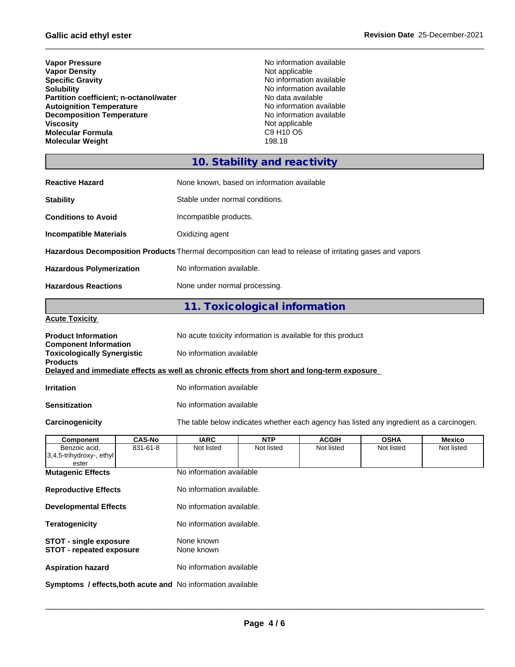| <b>Vapor Density</b><br><b>Specific Gravity</b><br><b>Solubility</b><br>Partition coefficient; n-octanol/water<br><b>Autoignition Temperature</b><br><b>Decomposition Temperature</b><br><b>Viscosity</b><br><b>Molecular Formula</b><br><b>Molecular Weight</b> | No information available<br>Not applicable<br>No information available<br>No information available<br>No data available<br>No information available<br>No information available<br>Not applicable<br>C9 H <sub>10</sub> O <sub>5</sub><br>198.18 |
|------------------------------------------------------------------------------------------------------------------------------------------------------------------------------------------------------------------------------------------------------------------|--------------------------------------------------------------------------------------------------------------------------------------------------------------------------------------------------------------------------------------------------|
|                                                                                                                                                                                                                                                                  | 10. Stability and reactivity                                                                                                                                                                                                                     |
| <b>Reactive Hazard</b>                                                                                                                                                                                                                                           | None known, based on information available                                                                                                                                                                                                       |
| <b>Stability</b>                                                                                                                                                                                                                                                 | Stable under normal conditions.                                                                                                                                                                                                                  |
| <b>Conditions to Avoid</b>                                                                                                                                                                                                                                       | Incompatible products.                                                                                                                                                                                                                           |
| <b>Incompatible Materials</b>                                                                                                                                                                                                                                    | Oxidizing agent                                                                                                                                                                                                                                  |
|                                                                                                                                                                                                                                                                  | Hazardous Decomposition Products Thermal decomposition can lead to release of irritating gases and vapors                                                                                                                                        |
| <b>Hazardous Polymerization</b>                                                                                                                                                                                                                                  | No information available.                                                                                                                                                                                                                        |
| <b>Hazardous Reactions</b>                                                                                                                                                                                                                                       | None under normal processing.                                                                                                                                                                                                                    |
|                                                                                                                                                                                                                                                                  | 11. Toxicological information                                                                                                                                                                                                                    |
| <b>Acute Toxicity</b>                                                                                                                                                                                                                                            |                                                                                                                                                                                                                                                  |
| <b>Product Information</b><br><b>Component Information</b>                                                                                                                                                                                                       | No acute toxicity information is available for this product                                                                                                                                                                                      |
| <b>Toxicologically Synergistic</b><br><b>Products</b>                                                                                                                                                                                                            | No information available                                                                                                                                                                                                                         |
|                                                                                                                                                                                                                                                                  | Delayed and immediate effects as well as chronic effects from short and long-term exposure                                                                                                                                                       |
|                                                                                                                                                                                                                                                                  |                                                                                                                                                                                                                                                  |
| <b>Irritation</b>                                                                                                                                                                                                                                                | No information available                                                                                                                                                                                                                         |
| <b>Sensitization</b>                                                                                                                                                                                                                                             | No information available                                                                                                                                                                                                                         |
| Carcinogenicity                                                                                                                                                                                                                                                  | The table below indicates whether each agency has listed any ingredient as a carcinogen.                                                                                                                                                         |
|                                                                                                                                                                                                                                                                  | <b>IARC</b><br><b>NTP</b><br><b>ACGIH</b><br><b>OSHA</b>                                                                                                                                                                                         |
| <b>CAS-No</b><br>Component<br>Benzoic acid,<br>831-61-8<br>3,4,5-trihydroxy-, ethyl                                                                                                                                                                              | <b>Mexico</b><br>Not listed<br>Not listed<br>Not listed<br>Not listed<br>Not listed                                                                                                                                                              |
| ester<br><b>Mutagenic Effects</b>                                                                                                                                                                                                                                | No information available                                                                                                                                                                                                                         |
| <b>Reproductive Effects</b>                                                                                                                                                                                                                                      | No information available.                                                                                                                                                                                                                        |
| <b>Developmental Effects</b>                                                                                                                                                                                                                                     | No information available.                                                                                                                                                                                                                        |
| <b>Teratogenicity</b>                                                                                                                                                                                                                                            | No information available.                                                                                                                                                                                                                        |
| <b>STOT - single exposure</b><br><b>STOT - repeated exposure</b>                                                                                                                                                                                                 | None known<br>None known                                                                                                                                                                                                                         |

**Symptoms / effects,both acute and** No information available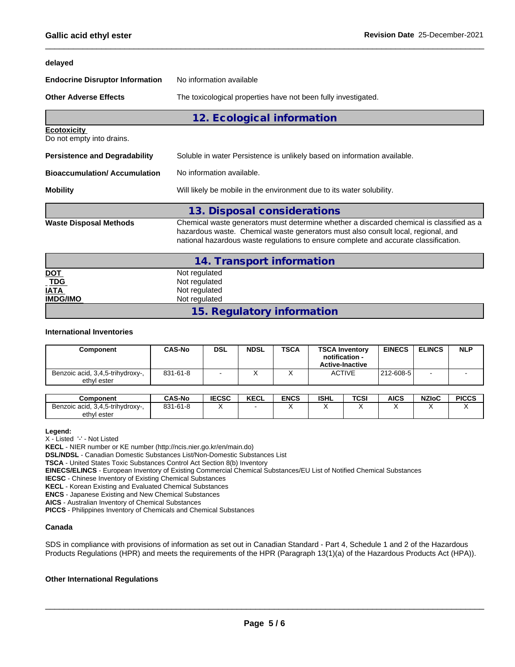#### **delayed**

| <b>Endocrine Disruptor Information</b>          | No information available                                                                                                                                                                                                                                              |  |  |
|-------------------------------------------------|-----------------------------------------------------------------------------------------------------------------------------------------------------------------------------------------------------------------------------------------------------------------------|--|--|
| <b>Other Adverse Effects</b>                    | The toxicological properties have not been fully investigated.                                                                                                                                                                                                        |  |  |
|                                                 | 12. Ecological information                                                                                                                                                                                                                                            |  |  |
| <b>Ecotoxicity</b><br>Do not empty into drains. |                                                                                                                                                                                                                                                                       |  |  |
| <b>Persistence and Degradability</b>            | Soluble in water Persistence is unlikely based on information available.                                                                                                                                                                                              |  |  |
| Bioaccumulation/ Accumulation                   | No information available.                                                                                                                                                                                                                                             |  |  |
| Mobility                                        | Will likely be mobile in the environment due to its water solubility.                                                                                                                                                                                                 |  |  |
|                                                 | 13. Disposal considerations                                                                                                                                                                                                                                           |  |  |
| Waste Disposal Methods                          | Chemical waste generators must determine whether a discarded chemical is classified as a<br>hazardous waste. Chemical waste generators must also consult local, regional, and<br>national hazardous waste regulations to ensure complete and accurate classification. |  |  |
|                                                 | 14. Transport information                                                                                                                                                                                                                                             |  |  |
| <u>DOT</u>                                      | Not regulated                                                                                                                                                                                                                                                         |  |  |
| <b>TDG</b>                                      | Not regulated                                                                                                                                                                                                                                                         |  |  |

| IATA     | Not regulated              |
|----------|----------------------------|
| IMDG/IMO | Not regulated              |
|          | 15. Regulatory information |

#### **International Inventories**

| Component                                       | <b>CAS-No</b> | <b>DSL</b> | <b>NDSL</b> | <b>TSCA</b> | <b>TSCA Inventory</b><br>notification -<br><b>Active-Inactive</b> | <b>EINECS</b> | <b>ELINCS</b> | <b>NLP</b> |
|-------------------------------------------------|---------------|------------|-------------|-------------|-------------------------------------------------------------------|---------------|---------------|------------|
| Benzoic acid, 3,4,5-trihydroxy-,<br>ethyl ester | 831-61-8      |            |             |             | <b>ACTIVE</b>                                                     | 212-608-5     |               |            |

| Component                                    | <b>CAS-No</b> | <b>IECSC</b> | I/T<br><b>KECL</b> | <b>ENCS</b> | ISHL | <b>TCSI</b> | <b>AICS</b> | <b>NZIoC</b> | <b>PICCS</b> |
|----------------------------------------------|---------------|--------------|--------------------|-------------|------|-------------|-------------|--------------|--------------|
| $\Omega$<br>Benzoic acid, 3,4,5-trihydroxy-, | 831-61-8      |              |                    |             |      |             |             |              |              |
| i ester<br>ethvl                             |               |              |                    |             |      |             |             |              |              |

#### **Legend:**

X - Listed '-' - Not Listed

**KECL** - NIER number or KE number (http://ncis.nier.go.kr/en/main.do)

**DSL/NDSL** - Canadian Domestic Substances List/Non-Domestic Substances List

**TSCA** - United States Toxic Substances Control Act Section 8(b) Inventory

**EINECS/ELINCS** - European Inventory of Existing Commercial Chemical Substances/EU List of Notified Chemical Substances

**IECSC** - Chinese Inventory of Existing Chemical Substances

**KECL** - Korean Existing and Evaluated Chemical Substances

**ENCS** - Japanese Existing and New Chemical Substances

**AICS** - Australian Inventory of Chemical Substances

**PICCS** - Philippines Inventory of Chemicals and Chemical Substances

#### **Canada**

SDS in compliance with provisions of information as set out in Canadian Standard - Part 4, Schedule 1 and 2 of the Hazardous Products Regulations (HPR) and meets the requirements of the HPR (Paragraph 13(1)(a) of the Hazardous Products Act (HPA)).

#### **Other International Regulations**